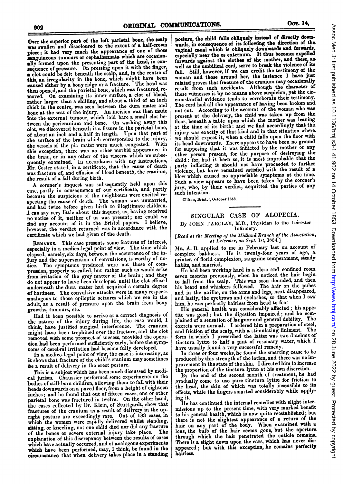Over the superior part of the left parietal bone, the scalp Mas swollen and discoloured to the extent of a half-crown piece; it had very much the appearance of one of those sanguineous tumours or cephalhiemata which are occasionally formed upon the presenting part of the head, in consequence of pressure. On pressing upon it with the finger,  $\alpha$  clot could be felt beneath the scalp, and, in the centre of his an irregularity in the bone, which might have been caused either by a bony ridge or a fracture. The head was then opened, and the parietal bone, which was fractured, removed. On examining its inner surface, a clot of blood, rather larger than a shilling, and about a third of an inch thick in the centre, was seen between the dura mater and bone at the seat of the injury. An incision was then made into the external tumour, which laid bare a small clot between the pericranium and bone. On washing away this clot, we discovered beneath it a fissure in the parietal bone, of about an inch and a half in length. Uponi that part of the surface of the brain which corresponded to the injury, the vessels of the pia mater were much congested. With this exception, there was no other morbid appearance in the brain, or in any other of the viscera which we subsequently examined. In accordance with my instructions, Mr. Coster stated, in a certificate, that the cause of death was fracture of, and effusion of blood beneath, the eranium, the result of a fall during birth.

A coroner's inquest was subsequently held upon this case, partly in consequence of our certificate, and partly because the suspicions of the neighbours were excited re-Epecting the cause of death. The woman was unmarried, and had twice before given birth to illegitinate children. I can say very little about this inquest, as, having received no notice of it, neither of us was present; nor could we find any account of it in the Bristol papers. I believe, however, the verdict returned was in accordance with the certificate which we had given of the death.

REMARKS. This case presents some features of interest, especially in a medico-legal point of view. The time which elapsed, namely, six days, between the occurrence of the injury and the supervention of convulsions, is worthy of notice. The symptoms produced were not those of compression, properly so called, but rather such as would arise from irritation of the grey matter of the brain; and they do not appear to have becn developed until the clot effused underneath the dura mater had acquired a certain degree of hardness. The convulsive attacks were in many respects analogous to those epileptic seizures which we see in the adult, as a result of pressure upon the brain from bony growths, tumours, etc.

Had it been possible to arrive at a correct diagnosis of the nature of the injury during life, the case would, I think, have justified surgical interference. The cranium might have been trephiiied over the fracture, and the clot removed with some prospect of success, provided the operation had been performed sufficiently early, before the symptoms of cerebral irritation had become fully developed.

In a medico-legal point of view, the case is interesting, as it shows that fracture of the child's cranium may sometimes be a result of delivery in the erect posture.

This is a subject which has been much discussed by medical jurists. Chaussier performed some experiments on the bodies of still-born children, allowing them to fall with their heads downwards on a paved floor, from a height of eighteen inches; and he found that out of fifteen cases, one or other parietal bone was fractured in twelve. On the other hand, the cases collected by Dr. Klein, of Stuttgardt, show that fractures of the cranium as a result of delivery in the upright posture are exceedingly rare. Out of 183 cases, in which the women were rapidly delivered whilst standing, sitting, or kneeling, not one child died nor did any fracture of the bones or severe external injury take place. The explanation of this discrepancy betwcen the results of cascs which have actually occurred, and of analogous experiments which have been performed, may, I think, be found in the cicumstance that when delivery takes place in a standing

posture, the child falls obliquely instead of directly downrards, in consequence of its following the direction of the waginal canal which is obliquely downwards and forwards,<br>raginal canal which is obliquely downwards and forwards,<br>especially near the os externum. It thus becomes expelled specially near the os externum. It thus becomes expenses prwards against the clothes of the mother, and these, as well as the umbilical cord, serve to break the violence of its all. Still, however, if we can credit the testimony of the oman and those around her, the instance I have just related proves that fracture of the cranium may occasionally result from such accidents. Although the character of these witnesses is by no means above suspicion, yet the circumstantial evidence tends to corroborate their testimony. The cord had all the appearance of having been broken and not cut. According to the account of the woman who was present at the delivery, the child was taken up from the floor, beneath a table upon which the mother was leaning at the time of its birth: and we find accordingly that the injury was exactly of that kind and in that situation where we should expect it, when a child falls upon the floor with its head downwards. There appears to have been no ground for supposing that it was inflicted by the mother or any other person present, for the purpose of destroying the child: for, bad it been so, it is most improbable that the party inflicting it should not have proceeded to further violence, but have remained satisfied with the result of  $\alpha$ blow which caused no appreciable symptoms at the time. Such a view appears to have been taken by the coroner's jury, who, by their verdict, acquitted the parties of any such intention.

Clifton, Bristol, October 1853.

## SINGULAR CASE OF ALOPECIA.

By JOHN PARCLAY, M.D., 'hysician to the Leicester

[Read at the Meeting of the Midland Branch of the Association, at Leitester, on Sept. 18t,  $10, 10, 30$ 

IR. A. B. applied to me in February last on account of complete baldness. I.e. is twenty-four years of  $a_{\rm g}$ ,  $a_{\rm g}$ printer, of noria complexion, sanguine temperament, steady

habits, and married.<br>He had been working hard in a close and confined room Ile had been working hard in a close and confined room seven months previously, when he noticed the hair begin to fall from the scalp. This was soon denuded, and then his beard and whiskers followed. The hair on the pubes and in the axillac, on the arms and legs, next disappeared, and lastly, the cycbrows and eyelashes, so that when <sup>I</sup> saw him, he was perfectly hairless from head to foot.

His general health was considerably affected; his appe-<br>tite was good; but the digestion impaired; and he comtite was good; but the digestion impaired; and he complained of a sensation of languor and general debility. The excreta were normal. I ordered him a preparation of steel, and friction of the scalp, with a stimulating liniment. The form in which <sup>I</sup> prescribed the latter was two drachms of tinctura lyttæ to half a pint of rosemary water, which I have usually found a very successful remedy.

In three or four weeks, he found the smarting cease to be produced by this strength of the lotion, and there was no improvement in the state of the skin. <sup>I</sup> directed him to increase the proportion of the tinctura lyttæ at his own discretion.

By the end of the second month of treatment, he had gradually come to use pure tinctura lyttæ for friction to the head, the skin of which was totally insensible  $\omega$  its effects, while the fingers smarted considerably while applying it.

He has continued the internal remedies with slight intermissions up to the present time, with very marked benefit to his general health, which is now quite reestablished; but there is not the slightest appearance of a return of the<br>hair on any part of the body. When examined with a lens, the bulb of the hair seems gone, but the aperture through which the hair penetrated the cuticle remains. There is a slight down upon the ears, which has never disappeared; but with this exception, he remains perfectly hairless.